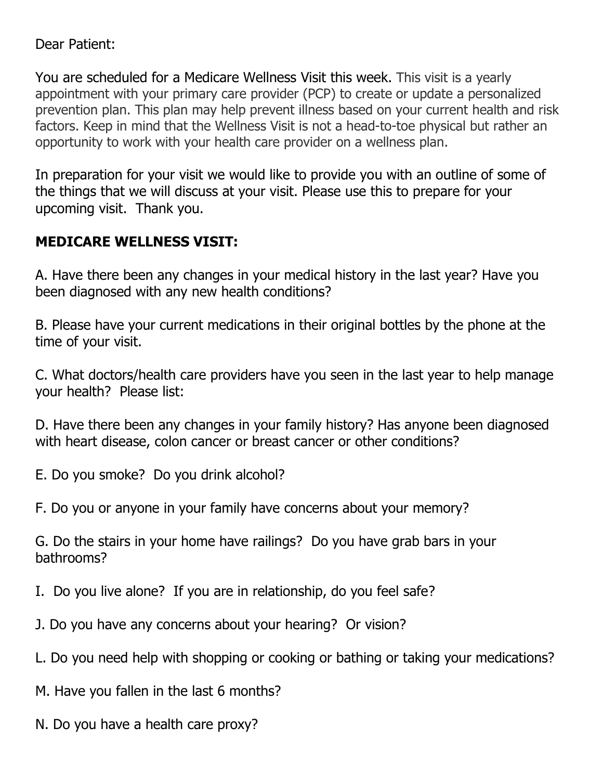Dear Patient:

You are scheduled for a Medicare Wellness Visit this week. This visit is a yearly appointment with your primary care provider (PCP) to create or update a personalized prevention plan. This plan may help prevent illness based on your current health and risk factors. Keep in mind that the Wellness Visit is not a head-to-toe physical but rather an opportunity to work with your health care provider on a wellness plan.

In preparation for your visit we would like to provide you with an outline of some of the things that we will discuss at your visit. Please use this to prepare for your upcoming visit. Thank you.

## **MEDICARE WELLNESS VISIT:**

A. Have there been any changes in your medical history in the last year? Have you been diagnosed with any new health conditions?

B. Please have your current medications in their original bottles by the phone at the time of your visit.

C. What doctors/health care providers have you seen in the last year to help manage your health? Please list:

D. Have there been any changes in your family history? Has anyone been diagnosed with heart disease, colon cancer or breast cancer or other conditions?

E. Do you smoke? Do you drink alcohol?

F. Do you or anyone in your family have concerns about your memory?

G. Do the stairs in your home have railings? Do you have grab bars in your bathrooms?

- I. Do you live alone? If you are in relationship, do you feel safe?
- J. Do you have any concerns about your hearing? Or vision?
- L. Do you need help with shopping or cooking or bathing or taking your medications?

M. Have you fallen in the last 6 months?

N. Do you have a health care proxy?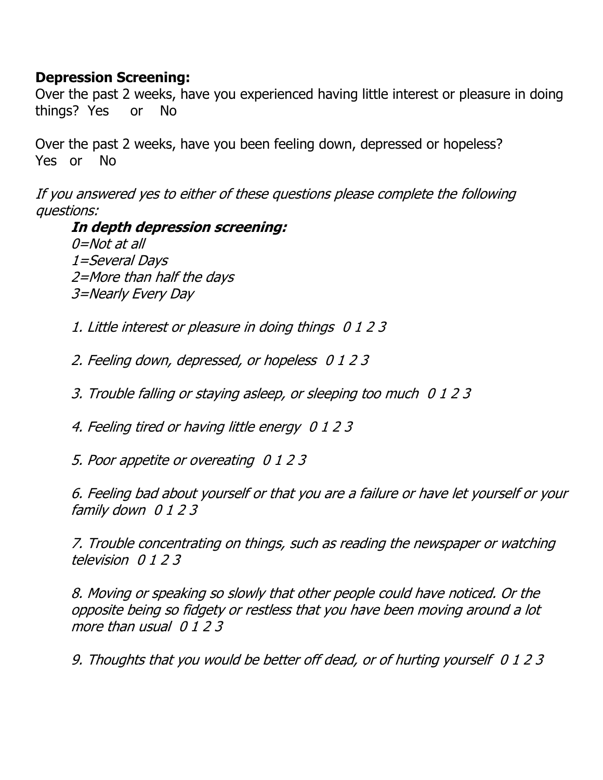## **Depression Screening:**

Over the past 2 weeks, have you experienced having little interest or pleasure in doing things? Yes or No

Over the past 2 weeks, have you been feeling down, depressed or hopeless? Yes or No

If you answered yes to either of these questions please complete the following questions:

**In depth depression screening:** 0=Not at all 1=Several Days 2=More than half the days 3=Nearly Every Day

1. Little interest or pleasure in doing things 0 1 2 3

2. Feeling down, depressed, or hopeless 0 1 2 3

3. Trouble falling or staying asleep, or sleeping too much 0 1 2 3

4. Feeling tired or having little energy 0 1 2 3

5. Poor appetite or overeating 0 1 2 3

6. Feeling bad about yourself or that you are a failure or have let yourself or your family down 0 1 2 3

7. Trouble concentrating on things, such as reading the newspaper or watching television 0 1 2 3

8. Moving or speaking so slowly that other people could have noticed. Or the opposite being so fidgety or restless that you have been moving around a lot more than usual 0 1 2 3

9. Thoughts that you would be better off dead, or of hurting yourself 0 1 2 3